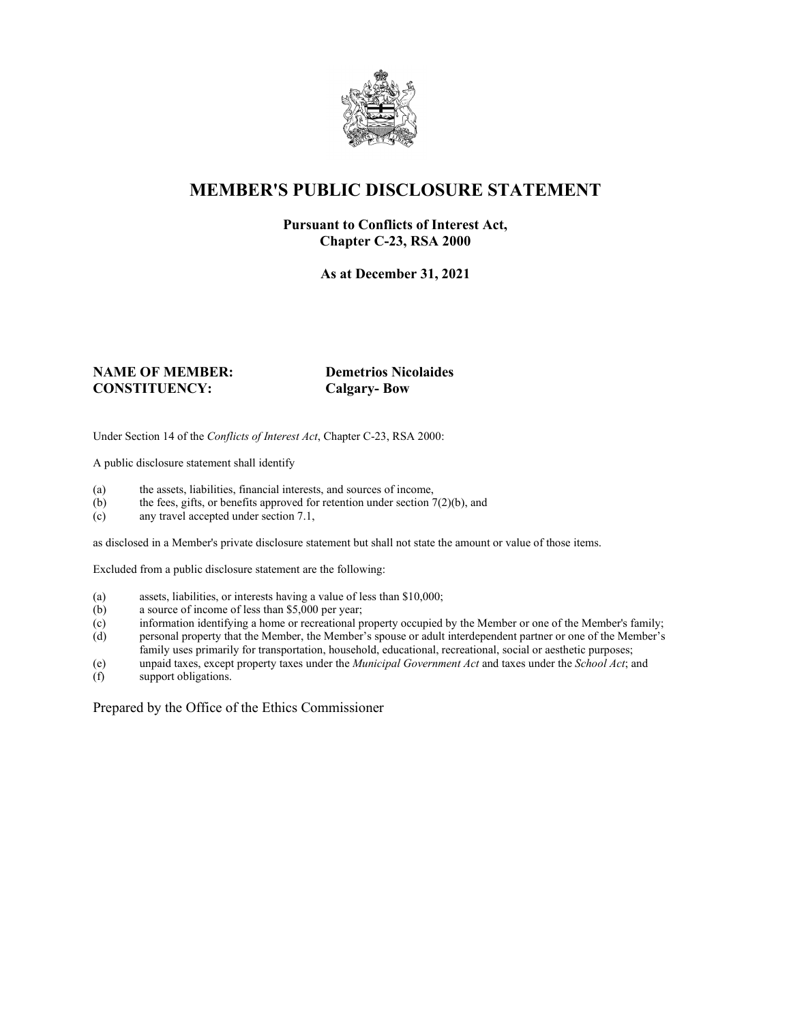

# **MEMBER'S PUBLIC DISCLOSURE STATEMENT**

#### **Pursuant to Conflicts of Interest Act, Chapter C-23, RSA 2000**

**As at December 31, 2021**

#### **NAME OF MEMBER: Demetrios Nicolaides CONSTITUENCY: Calgary- Bow**

Under Section 14 of the *Conflicts of Interest Act*, Chapter C-23, RSA 2000:

A public disclosure statement shall identify

- (a) the assets, liabilities, financial interests, and sources of income,  $(b)$  the fees, gifts, or benefits approved for retention under section 7
- the fees, gifts, or benefits approved for retention under section  $7(2)(b)$ , and
- (c) any travel accepted under section 7.1,

as disclosed in a Member's private disclosure statement but shall not state the amount or value of those items.

Excluded from a public disclosure statement are the following:

- (a) assets, liabilities, or interests having a value of less than \$10,000;
- (b) a source of income of less than \$5,000 per year;
- (c) information identifying a home or recreational property occupied by the Member or one of the Member's family;
- (d) personal property that the Member, the Member's spouse or adult interdependent partner or one of the Member's family uses primarily for transportation, household, educational, recreational, social or aesthetic purposes;
- (e) unpaid taxes, except property taxes under the *Municipal Government Act* and taxes under the *School Act*; and
- (f) support obligations.

Prepared by the Office of the Ethics Commissioner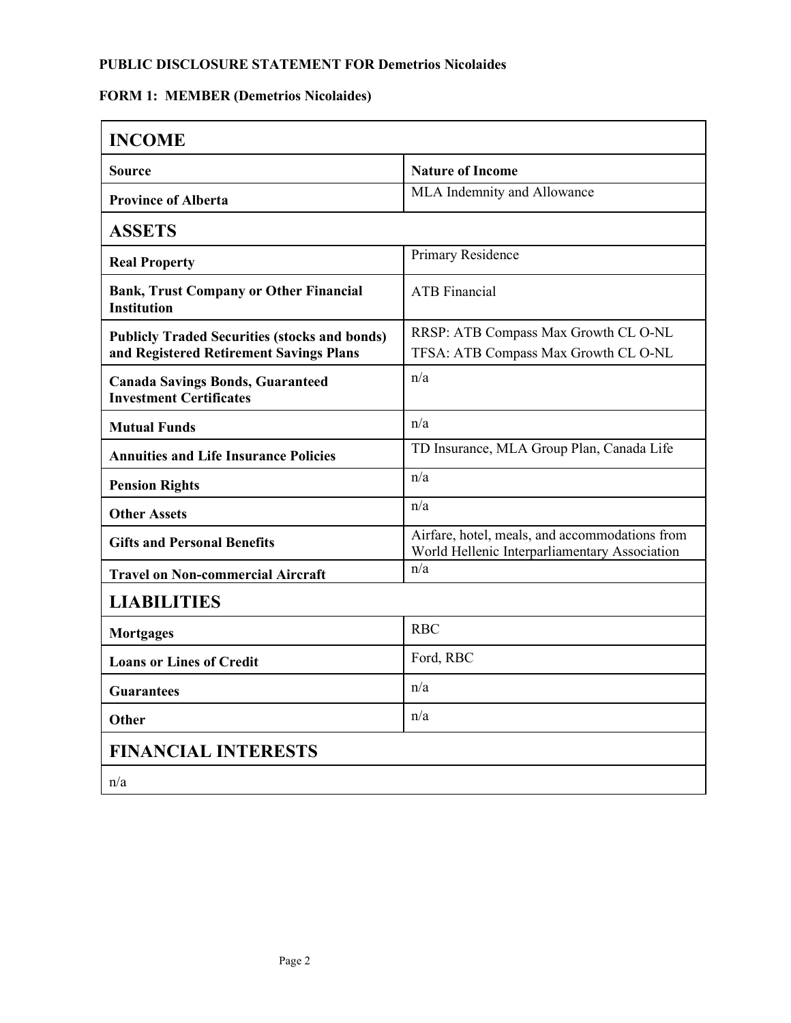## **PUBLIC DISCLOSURE STATEMENT FOR Demetrios Nicolaides**

## **FORM 1: MEMBER (Demetrios Nicolaides)**

| <b>INCOME</b>                                                                                   |                                                                                                 |  |
|-------------------------------------------------------------------------------------------------|-------------------------------------------------------------------------------------------------|--|
| <b>Source</b>                                                                                   | <b>Nature of Income</b>                                                                         |  |
| <b>Province of Alberta</b>                                                                      | MLA Indemnity and Allowance                                                                     |  |
| <b>ASSETS</b>                                                                                   |                                                                                                 |  |
| <b>Real Property</b>                                                                            | Primary Residence                                                                               |  |
| <b>Bank, Trust Company or Other Financial</b><br><b>Institution</b>                             | <b>ATB</b> Financial                                                                            |  |
| <b>Publicly Traded Securities (stocks and bonds)</b><br>and Registered Retirement Savings Plans | RRSP: ATB Compass Max Growth CL O-NL<br>TFSA: ATB Compass Max Growth CL O-NL                    |  |
| <b>Canada Savings Bonds, Guaranteed</b><br><b>Investment Certificates</b>                       | n/a                                                                                             |  |
| <b>Mutual Funds</b>                                                                             | n/a                                                                                             |  |
| <b>Annuities and Life Insurance Policies</b>                                                    | TD Insurance, MLA Group Plan, Canada Life                                                       |  |
| <b>Pension Rights</b>                                                                           | n/a                                                                                             |  |
| <b>Other Assets</b>                                                                             | n/a                                                                                             |  |
| <b>Gifts and Personal Benefits</b>                                                              | Airfare, hotel, meals, and accommodations from<br>World Hellenic Interparliamentary Association |  |
| <b>Travel on Non-commercial Aircraft</b>                                                        | n/a                                                                                             |  |
| <b>LIABILITIES</b>                                                                              |                                                                                                 |  |
| <b>Mortgages</b>                                                                                | <b>RBC</b>                                                                                      |  |
| <b>Loans or Lines of Credit</b>                                                                 | Ford, RBC                                                                                       |  |
| <b>Guarantees</b>                                                                               | n/a                                                                                             |  |
| <b>Other</b>                                                                                    | n/a                                                                                             |  |
| <b>FINANCIAL INTERESTS</b>                                                                      |                                                                                                 |  |
| n/a                                                                                             |                                                                                                 |  |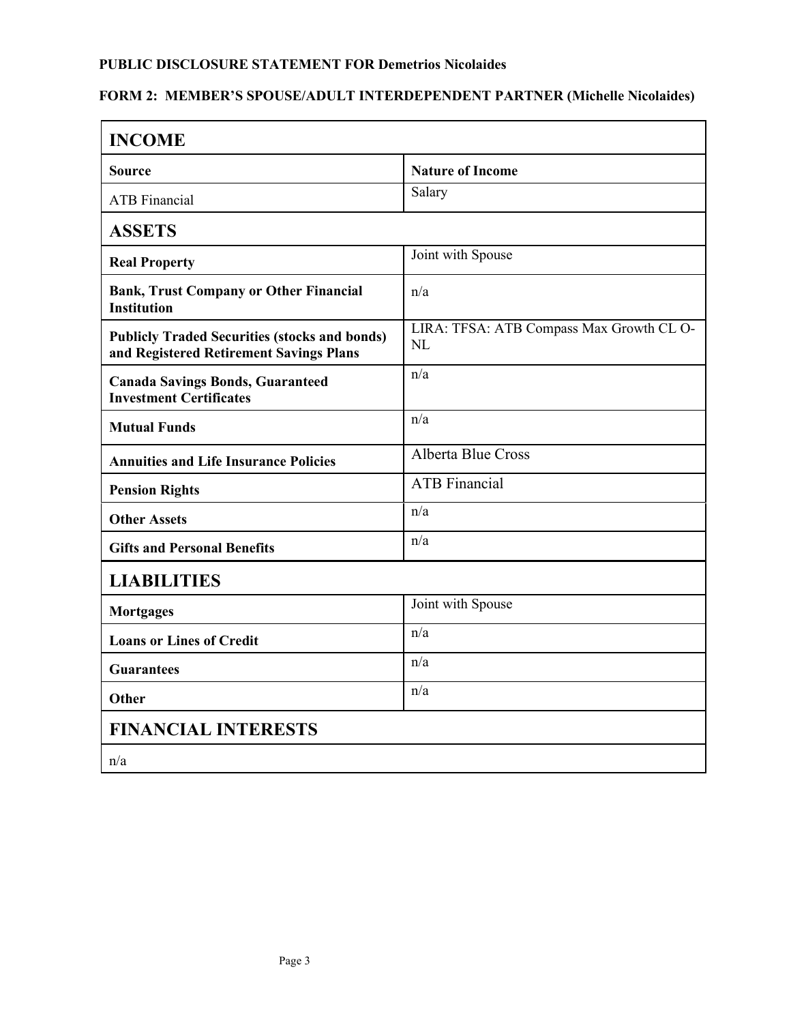#### **PUBLIC DISCLOSURE STATEMENT FOR Demetrios Nicolaides**

## **FORM 2: MEMBER'S SPOUSE/ADULT INTERDEPENDENT PARTNER (Michelle Nicolaides)**

| <b>INCOME</b>                                                                                   |                                                 |  |
|-------------------------------------------------------------------------------------------------|-------------------------------------------------|--|
| <b>Source</b>                                                                                   | <b>Nature of Income</b>                         |  |
| <b>ATB</b> Financial                                                                            | Salary                                          |  |
| <b>ASSETS</b>                                                                                   |                                                 |  |
| <b>Real Property</b>                                                                            | Joint with Spouse                               |  |
| <b>Bank, Trust Company or Other Financial</b><br><b>Institution</b>                             | n/a                                             |  |
| <b>Publicly Traded Securities (stocks and bonds)</b><br>and Registered Retirement Savings Plans | LIRA: TFSA: ATB Compass Max Growth CL O-<br>NI. |  |
| <b>Canada Savings Bonds, Guaranteed</b><br><b>Investment Certificates</b>                       | n/a                                             |  |
| <b>Mutual Funds</b>                                                                             | n/a                                             |  |
| <b>Annuities and Life Insurance Policies</b>                                                    | <b>Alberta Blue Cross</b>                       |  |
| <b>Pension Rights</b>                                                                           | <b>ATB</b> Financial                            |  |
| <b>Other Assets</b>                                                                             | n/a                                             |  |
| <b>Gifts and Personal Benefits</b>                                                              | n/a                                             |  |
| <b>LIABILITIES</b>                                                                              |                                                 |  |
| <b>Mortgages</b>                                                                                | Joint with Spouse                               |  |
| <b>Loans or Lines of Credit</b>                                                                 | n/a                                             |  |
| <b>Guarantees</b>                                                                               | n/a                                             |  |
| Other                                                                                           | n/a                                             |  |
| <b>FINANCIAL INTERESTS</b>                                                                      |                                                 |  |
| n/a                                                                                             |                                                 |  |